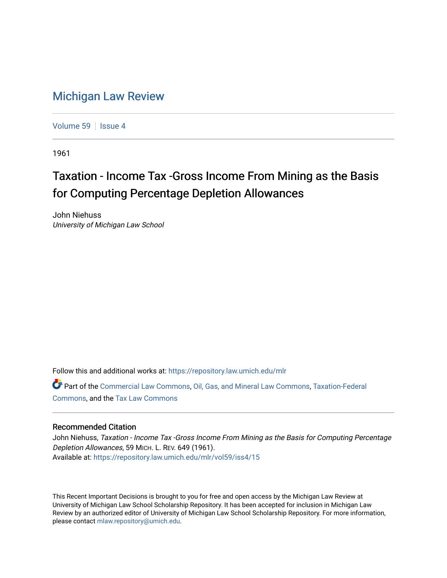## [Michigan Law Review](https://repository.law.umich.edu/mlr)

[Volume 59](https://repository.law.umich.edu/mlr/vol59) | [Issue 4](https://repository.law.umich.edu/mlr/vol59/iss4)

1961

## Taxation - Income Tax -Gross Income From Mining as the Basis for Computing Percentage Depletion Allowances

John Niehuss University of Michigan Law School

Follow this and additional works at: [https://repository.law.umich.edu/mlr](https://repository.law.umich.edu/mlr?utm_source=repository.law.umich.edu%2Fmlr%2Fvol59%2Fiss4%2F15&utm_medium=PDF&utm_campaign=PDFCoverPages) 

Part of the [Commercial Law Commons](http://network.bepress.com/hgg/discipline/586?utm_source=repository.law.umich.edu%2Fmlr%2Fvol59%2Fiss4%2F15&utm_medium=PDF&utm_campaign=PDFCoverPages), [Oil, Gas, and Mineral Law Commons](http://network.bepress.com/hgg/discipline/864?utm_source=repository.law.umich.edu%2Fmlr%2Fvol59%2Fiss4%2F15&utm_medium=PDF&utm_campaign=PDFCoverPages), [Taxation-Federal](http://network.bepress.com/hgg/discipline/881?utm_source=repository.law.umich.edu%2Fmlr%2Fvol59%2Fiss4%2F15&utm_medium=PDF&utm_campaign=PDFCoverPages)  [Commons](http://network.bepress.com/hgg/discipline/881?utm_source=repository.law.umich.edu%2Fmlr%2Fvol59%2Fiss4%2F15&utm_medium=PDF&utm_campaign=PDFCoverPages), and the [Tax Law Commons](http://network.bepress.com/hgg/discipline/898?utm_source=repository.law.umich.edu%2Fmlr%2Fvol59%2Fiss4%2F15&utm_medium=PDF&utm_campaign=PDFCoverPages)

## Recommended Citation

John Niehuss, Taxation - Income Tax -Gross Income From Mining as the Basis for Computing Percentage Depletion Allowances, 59 MICH. L. REV. 649 (1961). Available at: [https://repository.law.umich.edu/mlr/vol59/iss4/15](https://repository.law.umich.edu/mlr/vol59/iss4/15?utm_source=repository.law.umich.edu%2Fmlr%2Fvol59%2Fiss4%2F15&utm_medium=PDF&utm_campaign=PDFCoverPages) 

This Recent Important Decisions is brought to you for free and open access by the Michigan Law Review at University of Michigan Law School Scholarship Repository. It has been accepted for inclusion in Michigan Law Review by an authorized editor of University of Michigan Law School Scholarship Repository. For more information, please contact [mlaw.repository@umich.edu.](mailto:mlaw.repository@umich.edu)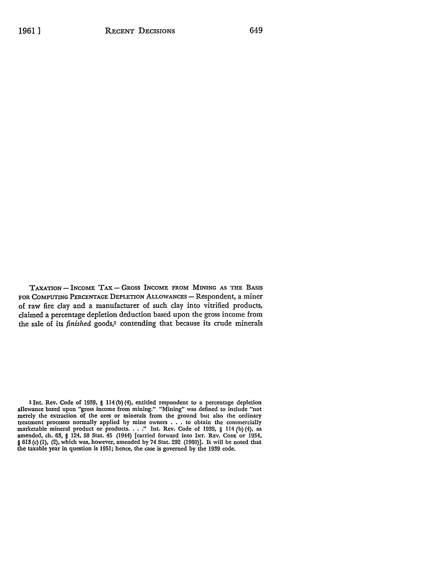TAXATION - INCOME TAX - GROSS INCOME FROM MINING AS THE BASIS FOR COMPUTING PERCENTAGE DEPLETION ALLOWANCES - Respondent, a miner of raw fire clay and a manufacturer of such clay into vitrified products, claimed a percentage depletion deduction based upon the gross income from the sale of its *finished* goods,1 contending that because its crude minerals

l Int. Rev. Code of 1939, § 114 (b) (4), entitled respondent to a percentage depletion allowance based upon "gross income from mining." "Mining" was defined to include "not merely the extraction of the ores or minerals from the ground but also the ordinary treatment processes normally applied by mine owners . . . to obtain the commercially marketable mineral product or products. . . ." Int. Rev. Code of 1939, § 114 (b) (4), as<br>amended, ch. 63, § 124, 58 Stat. 45 (1944) [carr § 613 (c) (1), (2), which was, however, amended by 74 Stat. 292 (1960)]. It will be noted that the taxable year in question is 1951; hence, the case is governed by the 1939 code.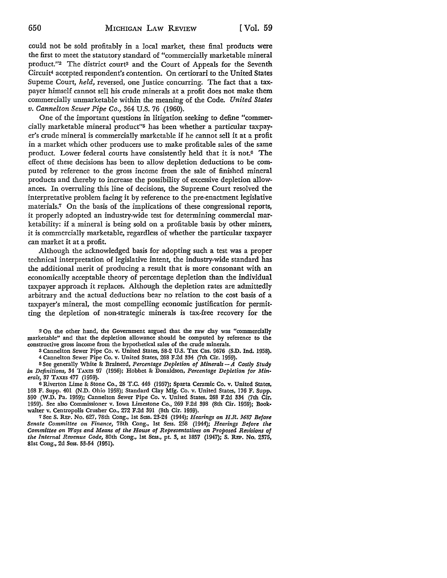could not be sold profitably in a local market, these final products were the first to meet the statutory standard of "commercially marketable mineral product."<sup>2</sup> The district court<sup>3</sup> and the Court of Appeals for the Seventh Circuit4 accepted respondent's contention. On certiorari to the United States Supeme Court, *held,* reversed, one Justice concurring. The fact that a taxpayer himself cannot sell his crude minerals at a profit does not make them commercially unmarketable within the meaning of the Code. *United States v. Cannelton Sewer Pipe Co.,* 364 U.S. 76 (1960).

One of the important questions in litigation seeking to define "commercially marketable mineral product"<sup>5</sup> has been whether a particular taxpayer's crude mineral is commercially marketable if he cannot sell it at a profit in a market which other producers use to make profitable sales of the same product. Lower federal courts have consistently held that it is not.6 The effect of these decisions has been to allow depletion deductions to be computed by reference to the gross income from the sale of finished mineral products and thereby to increase the possibility of excessive depletion allowances. In overruling this line of decisions, the Supreme Court resolved the interpretative problem facing it by reference to the pre-enactment legislative materials.7 On the basis of the implications of these congressional reports, it properly adopted an industry-wide test for determining commercial marketability: if a mineral is being sold on a profitable basis by other miners, it is commercially marketable, regardless of whether the particular taxpayer can market it at a profit.

Although the acknowledged basis for adopting such a test was a proper technical interpretation of legislative intent, the industry-wide standard has the additional merit of producing a result that is more consonant with an economically acceptable theory of percentage depletion than the individual taxpayer approach it replaces. Although the depletion rates are admittedly arbitrary and the actual deductions bear no relation to the cost basis of a taxpayer's mineral, the most compelling economic justification for permitting the depletion of non-strategic minerals is tax-free recovery for the

2 On the other hand, the Government argued that the raw clay was "commercially marketable" and that the depletion allowance should be computed by reference to the constructive gross income from the hypothetical sales of the crude minerals.

3 Cannelton Sewer Pipe Co. v. United States, 58-2 U.S. Tax Cas. 9676 (S.D. Ind. 1958). 4 Cannelton Sewer Pipe Co. v. United States, 268 F.2d 334 (7th Cir. 1959).

<sup>5</sup>See generally White & Brainerd, *Percentage Depletion of Minerals- A Costly Study in Definitions,* 34 TAXES 97 (1956); Hobbet & Donaldson, *Percentage Depletion for Minerals,* 37 TAXES 477 (1959).

6 Riverton Lime & Stone Co., 28 T.C. 446 (1957); Sparta Ceramic Co. v. United States, 168 F. Supp. 401 (N.D. Ohio 1958); Standard Clay Mfg. Co. v. United States, 176 F. Supp. 590 (W.D. Pa. 1959); Cannelton Sewer Pipe Co. v. United States, 268 F.2d 334 (7th Cir. 1959). See also Commissioner v. Iowa Limestone Co., 269 F.2d 398 (8th Cir. 1959); Bookwalter v. Centropolis Crusher Co., 272 F.2d 391 (8th Cir. 1959).

7 See S. REP. No. 627, 78th Cong., 1st Sess. 23-24 (1944); *Hearings on H.R. J687 Before Senate Committee on Finance,* 78th Cong., 1st Sess. 258 (1944); *Hearings Before the Committee on Ways and Means of the House of Representatives on Proposed Revisions of the Internal Revenue Code,* 80th Cong., 1st Sess., pt. 3, at 1857 (1947); S. REP. No. 2375, 81st Cong., 2d Sess. 53-54 (1951).